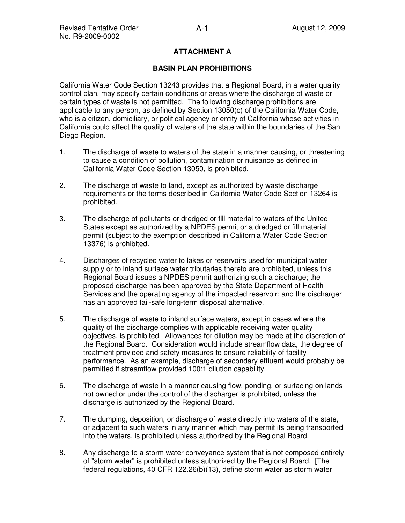## **ATTACHMENT A**

### **BASIN PLAN PROHIBITIONS**

California Water Code Section 13243 provides that a Regional Board, in a water quality control plan, may specify certain conditions or areas where the discharge of waste or certain types of waste is not permitted. The following discharge prohibitions are applicable to any person, as defined by Section 13050(c) of the California Water Code, who is a citizen, domiciliary, or political agency or entity of California whose activities in California could affect the quality of waters of the state within the boundaries of the San Diego Region.

- 1. The discharge of waste to waters of the state in a manner causing, or threatening to cause a condition of pollution, contamination or nuisance as defined in California Water Code Section 13050, is prohibited.
- 2. The discharge of waste to land, except as authorized by waste discharge requirements or the terms described in California Water Code Section 13264 is prohibited.
- 3. The discharge of pollutants or dredged or fill material to waters of the United States except as authorized by a NPDES permit or a dredged or fill material permit (subject to the exemption described in California Water Code Section 13376) is prohibited.
- 4. Discharges of recycled water to lakes or reservoirs used for municipal water supply or to inland surface water tributaries thereto are prohibited, unless this Regional Board issues a NPDES permit authorizing such a discharge; the proposed discharge has been approved by the State Department of Health Services and the operating agency of the impacted reservoir; and the discharger has an approved fail-safe long-term disposal alternative.
- 5. The discharge of waste to inland surface waters, except in cases where the quality of the discharge complies with applicable receiving water quality objectives, is prohibited. Allowances for dilution may be made at the discretion of the Regional Board. Consideration would include streamflow data, the degree of treatment provided and safety measures to ensure reliability of facility performance. As an example, discharge of secondary effluent would probably be permitted if streamflow provided 100:1 dilution capability.
- 6. The discharge of waste in a manner causing flow, ponding, or surfacing on lands not owned or under the control of the discharger is prohibited, unless the discharge is authorized by the Regional Board.
- 7. The dumping, deposition, or discharge of waste directly into waters of the state, or adjacent to such waters in any manner which may permit its being transported into the waters, is prohibited unless authorized by the Regional Board.
- 8. Any discharge to a storm water conveyance system that is not composed entirely of "storm water" is prohibited unless authorized by the Regional Board. [The federal regulations, 40 CFR 122.26(b)(13), define storm water as storm water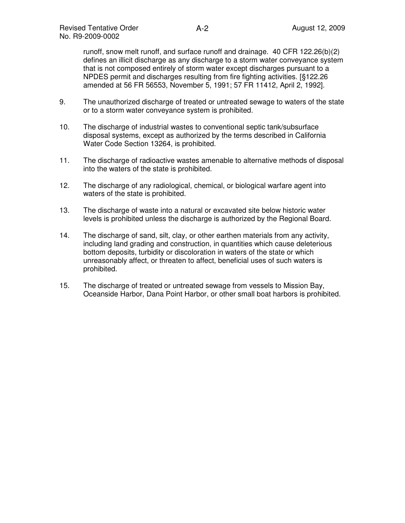runoff, snow melt runoff, and surface runoff and drainage. 40 CFR 122.26(b)(2) defines an illicit discharge as any discharge to a storm water conveyance system that is not composed entirely of storm water except discharges pursuant to a NPDES permit and discharges resulting from fire fighting activities. [§122.26 amended at 56 FR 56553, November 5, 1991; 57 FR 11412, April 2, 1992].

- 9. The unauthorized discharge of treated or untreated sewage to waters of the state or to a storm water conveyance system is prohibited.
- 10. The discharge of industrial wastes to conventional septic tank/subsurface disposal systems, except as authorized by the terms described in California Water Code Section 13264, is prohibited.
- 11. The discharge of radioactive wastes amenable to alternative methods of disposal into the waters of the state is prohibited.
- 12. The discharge of any radiological, chemical, or biological warfare agent into waters of the state is prohibited.
- 13. The discharge of waste into a natural or excavated site below historic water levels is prohibited unless the discharge is authorized by the Regional Board.
- 14. The discharge of sand, silt, clay, or other earthen materials from any activity, including land grading and construction, in quantities which cause deleterious bottom deposits, turbidity or discoloration in waters of the state or which unreasonably affect, or threaten to affect, beneficial uses of such waters is prohibited.
- 15. The discharge of treated or untreated sewage from vessels to Mission Bay, Oceanside Harbor, Dana Point Harbor, or other small boat harbors is prohibited.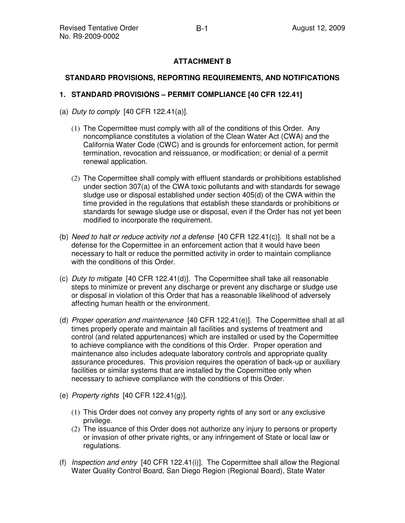# **ATTACHMENT B**

## **STANDARD PROVISIONS, REPORTING REQUIREMENTS, AND NOTIFICATIONS**

## **1. STANDARD PROVISIONS – PERMIT COMPLIANCE [40 CFR 122.41]**

- (a) Duty to comply  $[40$  CFR 122.41(a)].
	- (1) The Copermittee must comply with all of the conditions of this Order. Any noncompliance constitutes a violation of the Clean Water Act (CWA) and the California Water Code (CWC) and is grounds for enforcement action, for permit termination, revocation and reissuance, or modification; or denial of a permit renewal application.
	- (2) The Copermittee shall comply with effluent standards or prohibitions established under section 307(a) of the CWA toxic pollutants and with standards for sewage sludge use or disposal established under section 405(d) of the CWA within the time provided in the regulations that establish these standards or prohibitions or standards for sewage sludge use or disposal, even if the Order has not yet been modified to incorporate the requirement.
- (b) Need to halt or reduce activity not a defense  $[40 \text{ CFR } 122.41(c)]$ . It shall not be a defense for the Copermittee in an enforcement action that it would have been necessary to halt or reduce the permitted activity in order to maintain compliance with the conditions of this Order.
- (c) Duty to mitigate  $[40 \text{ CFR } 122.41(d)]$ . The Copermittee shall take all reasonable steps to minimize or prevent any discharge or prevent any discharge or sludge use or disposal in violation of this Order that has a reasonable likelihood of adversely affecting human health or the environment.
- (d) Proper operation and maintenance  $[40 \text{ CFR } 122.41(e)]$ . The Copermittee shall at all times properly operate and maintain all facilities and systems of treatment and control (and related appurtenances) which are installed or used by the Copermittee to achieve compliance with the conditions of this Order. Proper operation and maintenance also includes adequate laboratory controls and appropriate quality assurance procedures. This provision requires the operation of back-up or auxiliary facilities or similar systems that are installed by the Copermittee only when necessary to achieve compliance with the conditions of this Order.
- (e) Property rights [40 CFR 122.41(g)].
	- (1) This Order does not convey any property rights of any sort or any exclusive privilege.
	- (2) The issuance of this Order does not authorize any injury to persons or property or invasion of other private rights, or any infringement of State or local law or regulations.
- (f) Inspection and entry [40 CFR 122.41(i)]. The Copermittee shall allow the Regional Water Quality Control Board, San Diego Region (Regional Board), State Water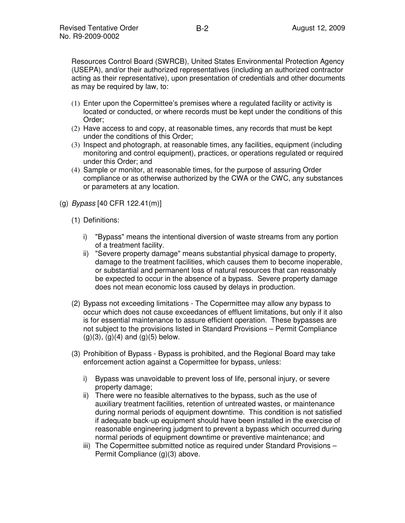Resources Control Board (SWRCB), United States Environmental Protection Agency (USEPA), and/or their authorized representatives (including an authorized contractor acting as their representative), upon presentation of credentials and other documents as may be required by law, to:

- (1) Enter upon the Copermittee's premises where a regulated facility or activity is located or conducted, or where records must be kept under the conditions of this Order;
- (2) Have access to and copy, at reasonable times, any records that must be kept under the conditions of this Order;
- (3) Inspect and photograph, at reasonable times, any facilities, equipment (including monitoring and control equipment), practices, or operations regulated or required under this Order; and
- (4) Sample or monitor, at reasonable times, for the purpose of assuring Order compliance or as otherwise authorized by the CWA or the CWC, any substances or parameters at any location.
- (g) Bypass [40 CFR 122.41(m)]
	- (1) Definitions:
		- i) "Bypass" means the intentional diversion of waste streams from any portion of a treatment facility.
		- ii) "Severe property damage" means substantial physical damage to property, damage to the treatment facilities, which causes them to become inoperable, or substantial and permanent loss of natural resources that can reasonably be expected to occur in the absence of a bypass. Severe property damage does not mean economic loss caused by delays in production.
	- (2) Bypass not exceeding limitations The Copermittee may allow any bypass to occur which does not cause exceedances of effluent limitations, but only if it also is for essential maintenance to assure efficient operation. These bypasses are not subject to the provisions listed in Standard Provisions – Permit Compliance  $(g)(3)$ ,  $(g)(4)$  and  $(g)(5)$  below.
	- (3) Prohibition of Bypass Bypass is prohibited, and the Regional Board may take enforcement action against a Copermittee for bypass, unless:
		- i) Bypass was unavoidable to prevent loss of life, personal injury, or severe property damage;
		- ii) There were no feasible alternatives to the bypass, such as the use of auxiliary treatment facilities, retention of untreated wastes, or maintenance during normal periods of equipment downtime. This condition is not satisfied if adequate back-up equipment should have been installed in the exercise of reasonable engineering judgment to prevent a bypass which occurred during normal periods of equipment downtime or preventive maintenance; and
		- iii) The Copermittee submitted notice as required under Standard Provisions Permit Compliance (g)(3) above.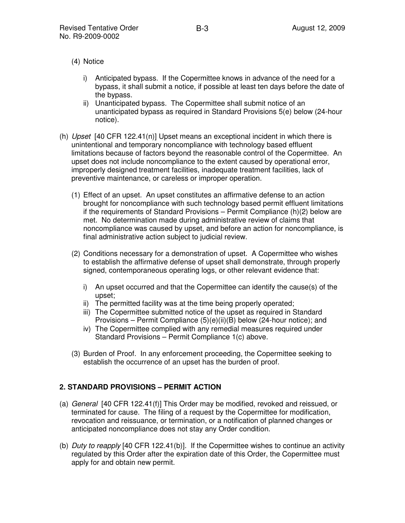- (4) Notice
	- i) Anticipated bypass. If the Copermittee knows in advance of the need for a bypass, it shall submit a notice, if possible at least ten days before the date of the bypass.
	- ii) Unanticipated bypass. The Copermittee shall submit notice of an unanticipated bypass as required in Standard Provisions 5(e) below (24-hour notice).
- (h) Upset  $[40 \text{ CFR } 122.41(n)]$  Upset means an exceptional incident in which there is unintentional and temporary noncompliance with technology based effluent limitations because of factors beyond the reasonable control of the Copermittee. An upset does not include noncompliance to the extent caused by operational error, improperly designed treatment facilities, inadequate treatment facilities, lack of preventive maintenance, or careless or improper operation.
	- (1) Effect of an upset. An upset constitutes an affirmative defense to an action brought for noncompliance with such technology based permit effluent limitations if the requirements of Standard Provisions – Permit Compliance (h)(2) below are met. No determination made during administrative review of claims that noncompliance was caused by upset, and before an action for noncompliance, is final administrative action subject to judicial review.
	- (2) Conditions necessary for a demonstration of upset. A Copermittee who wishes to establish the affirmative defense of upset shall demonstrate, through properly signed, contemporaneous operating logs, or other relevant evidence that:
		- i) An upset occurred and that the Copermittee can identify the cause(s) of the upset;
		- ii) The permitted facility was at the time being properly operated;
		- iii) The Copermittee submitted notice of the upset as required in Standard Provisions – Permit Compliance (5)(e)(ii)(B) below (24-hour notice); and
		- iv) The Copermittee complied with any remedial measures required under Standard Provisions – Permit Compliance 1(c) above.
	- (3) Burden of Proof. In any enforcement proceeding, the Copermittee seeking to establish the occurrence of an upset has the burden of proof.

### **2. STANDARD PROVISIONS – PERMIT ACTION**

- (a) General [40 CFR 122.41(f)] This Order may be modified, revoked and reissued, or terminated for cause. The filing of a request by the Copermittee for modification, revocation and reissuance, or termination, or a notification of planned changes or anticipated noncompliance does not stay any Order condition.
- (b) Duty to reapply  $[40 \text{ CFR } 122.41 \text{ (b)}]$ . If the Copermittee wishes to continue an activity regulated by this Order after the expiration date of this Order, the Copermittee must apply for and obtain new permit.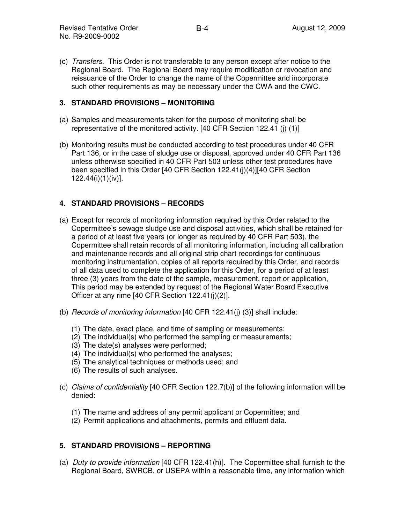(c) Transfers. This Order is not transferable to any person except after notice to the Regional Board. The Regional Board may require modification or revocation and reissuance of the Order to change the name of the Copermittee and incorporate such other requirements as may be necessary under the CWA and the CWC.

## **3. STANDARD PROVISIONS – MONITORING**

- (a) Samples and measurements taken for the purpose of monitoring shall be representative of the monitored activity. [40 CFR Section 122.41 (j) (1)]
- (b) Monitoring results must be conducted according to test procedures under 40 CFR Part 136, or in the case of sludge use or disposal, approved under 40 CFR Part 136 unless otherwise specified in 40 CFR Part 503 unless other test procedures have been specified in this Order [40 CFR Section 122.41(j)(4)][40 CFR Section 122.44(i)(1)(iv)].

# **4. STANDARD PROVISIONS – RECORDS**

- (a) Except for records of monitoring information required by this Order related to the Copermittee's sewage sludge use and disposal activities, which shall be retained for a period of at least five years (or longer as required by 40 CFR Part 503), the Copermittee shall retain records of all monitoring information, including all calibration and maintenance records and all original strip chart recordings for continuous monitoring instrumentation, copies of all reports required by this Order, and records of all data used to complete the application for this Order, for a period of at least three (3) years from the date of the sample, measurement, report or application, This period may be extended by request of the Regional Water Board Executive Officer at any rime [40 CFR Section 122.41(j)(2)].
- (b) Records of monitoring information [40 CFR 122.41(j) (3)] shall include:
	- (1) The date, exact place, and time of sampling or measurements;
	- (2) The individual(s) who performed the sampling or measurements;
	- (3) The date(s) analyses were performed;
	- (4) The individual(s) who performed the analyses;
	- (5) The analytical techniques or methods used; and
	- (6) The results of such analyses.
- (c) Claims of confidentiality [40 CFR Section 122.7(b)] of the following information will be denied:
	- (1) The name and address of any permit applicant or Copermittee; and
	- (2) Permit applications and attachments, permits and effluent data.

## **5. STANDARD PROVISIONS – REPORTING**

(a) Duty to provide information [40 CFR 122.41(h)]. The Copermittee shall furnish to the Regional Board, SWRCB, or USEPA within a reasonable time, any information which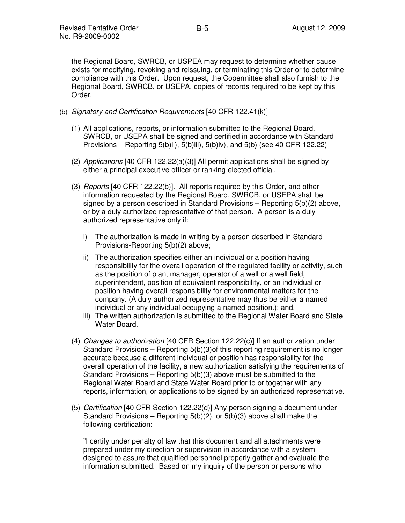the Regional Board, SWRCB, or USPEA may request to determine whether cause exists for modifying, revoking and reissuing, or terminating this Order or to determine compliance with this Order. Upon request, the Copermittee shall also furnish to the Regional Board, SWRCB, or USEPA, copies of records required to be kept by this Order.

- (b) Signatory and Certification Requirements [40 CFR 122.41(k)]
	- (1) All applications, reports, or information submitted to the Regional Board, SWRCB, or USEPA shall be signed and certified in accordance with Standard Provisions – Reporting 5(b)ii), 5(b)iii), 5(b)iv), and 5(b) (see 40 CFR 122.22)
	- (2) Applications [40 CFR 122.22(a)(3)] All permit applications shall be signed by either a principal executive officer or ranking elected official.
	- (3) *Reports* [40 CFR 122.22(b)]. All reports required by this Order, and other information requested by the Regional Board, SWRCB, or USEPA shall be signed by a person described in Standard Provisions – Reporting 5(b)(2) above, or by a duly authorized representative of that person. A person is a duly authorized representative only if:
		- i) The authorization is made in writing by a person described in Standard Provisions-Reporting 5(b)(2) above;
		- ii) The authorization specifies either an individual or a position having responsibility for the overall operation of the regulated facility or activity, such as the position of plant manager, operator of a well or a well field, superintendent, position of equivalent responsibility, or an individual or position having overall responsibility for environmental matters for the company. (A duly authorized representative may thus be either a named individual or any individual occupying a named position.); and,
		- iii) The written authorization is submitted to the Regional Water Board and State Water Board.
	- (4) Changes to authorization [40 CFR Section 122.22(c)] If an authorization under Standard Provisions – Reporting 5(b)(3)of this reporting requirement is no longer accurate because a different individual or position has responsibility for the overall operation of the facility, a new authorization satisfying the requirements of Standard Provisions – Reporting 5(b)(3) above must be submitted to the Regional Water Board and State Water Board prior to or together with any reports, information, or applications to be signed by an authorized representative.
	- (5) Certification [40 CFR Section 122.22(d)] Any person signing a document under Standard Provisions – Reporting 5(b)(2), or 5(b)(3) above shall make the following certification:

"I certify under penalty of law that this document and all attachments were prepared under my direction or supervision in accordance with a system designed to assure that qualified personnel properly gather and evaluate the information submitted. Based on my inquiry of the person or persons who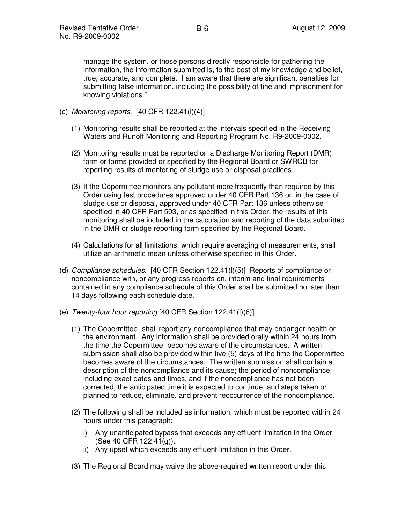manage the system, or those persons directly responsible for gathering the information, the information submitted is, to the best of my knowledge and belief, true, accurate, and complete. I am aware that there are significant penalties for submitting false information, including the possibility of fine and imprisonment for knowing violations."

- (c) Monitoring reports.  $[40 \text{ CFR } 122.41(l)(4)]$ 
	- (1) Monitoring results shall be reported at the intervals specified in the Receiving Waters and Runoff Monitoring and Reporting Program No. R9-2009-0002.
	- (2) Monitoring results must be reported on a Discharge Monitoring Report (DMR) form or forms provided or specified by the Regional Board or SWRCB for reporting results of mentoring of sludge use or disposal practices.
	- (3) If the Copermittee monitors any pollutant more frequently than required by this Order using test procedures approved under 40 CFR Part 136 or, in the case of sludge use or disposal, approved under 40 CFR Part 136 unless otherwise specified in 40 CFR Part 503, or as specified in this Order, the results of this monitoring shall be included in the calculation and reporting of the data submitted in the DMR or sludge reporting form specified by the Regional Board.
	- (4) Calculations for all limitations, which require averaging of measurements, shall utilize an arithmetic mean unless otherwise specified in this Order.
- (d) Compliance schedules. [40 CFR Section 122.41(l)(5)] Reports of compliance or noncompliance with, or any progress reports on, interim and final requirements contained in any compliance schedule of this Order shall be submitted no later than 14 days following each schedule date.
- (e) Twenty-four hour reporting [40 CFR Section 122.41(l)(6)]
	- (1) The Copermittee shall report any noncompliance that may endanger health or the environment. Any information shall be provided orally within 24 hours from the time the Copermittee becomes aware of the circumstances. A written submission shall also be provided within five (5) days of the time the Copermittee becomes aware of the circumstances. The written submission shall contain a description of the noncompliance and its cause; the period of noncompliance, including exact dates and times, and if the noncompliance has not been corrected, the anticipated time it is expected to continue; and steps taken or planned to reduce, eliminate, and prevent reoccurrence of the noncompliance.
	- (2) The following shall be included as information, which must be reported within 24 hours under this paragraph:
		- i) Any unanticipated bypass that exceeds any effluent limitation in the Order (See 40 CFR 122.41(g)).
		- ii) Any upset which exceeds any effluent limitation in this Order.
	- (3) The Regional Board may waive the above-required written report under this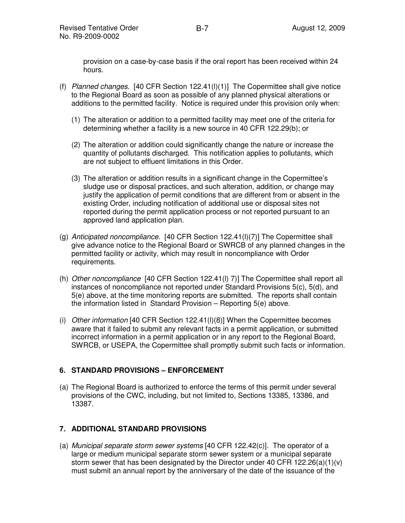provision on a case-by-case basis if the oral report has been received within 24 hours.

- (f) Planned changes. [40 CFR Section  $122.41(1)(1)$ ] The Copermittee shall give notice to the Regional Board as soon as possible of any planned physical alterations or additions to the permitted facility. Notice is required under this provision only when:
	- (1) The alteration or addition to a permitted facility may meet one of the criteria for determining whether a facility is a new source in 40 CFR 122.29(b); or
	- (2) The alteration or addition could significantly change the nature or increase the quantity of pollutants discharged. This notification applies to pollutants, which are not subject to effluent limitations in this Order.
	- (3) The alteration or addition results in a significant change in the Copermittee's sludge use or disposal practices, and such alteration, addition, or change may justify the application of permit conditions that are different from or absent in the existing Order, including notification of additional use or disposal sites not reported during the permit application process or not reported pursuant to an approved land application plan.
- (g) Anticipated noncompliance. [40 CFR Section  $122.41(1)(7)$ ] The Copermittee shall give advance notice to the Regional Board or SWRCB of any planned changes in the permitted facility or activity, which may result in noncompliance with Order requirements.
- (h) Other noncompliance [40 CFR Section 122.41(l) 7)] The Copermittee shall report all instances of noncompliance not reported under Standard Provisions 5(c), 5(d), and 5(e) above, at the time monitoring reports are submitted. The reports shall contain the information listed in Standard Provision – Reporting 5(e) above.
- (i) Other information [40 CFR Section 122.41(l)(8)] When the Copermittee becomes aware that it failed to submit any relevant facts in a permit application, or submitted incorrect information in a permit application or in any report to the Regional Board, SWRCB, or USEPA, the Copermittee shall promptly submit such facts or information.

### **6. STANDARD PROVISIONS – ENFORCEMENT**

(a) The Regional Board is authorized to enforce the terms of this permit under several provisions of the CWC, including, but not limited to, Sections 13385, 13386, and 13387.

## **7. ADDITIONAL STANDARD PROVISIONS**

(a) Municipal separate storm sewer systems  $[40 \text{ CFR } 122.42(c)]$ . The operator of a large or medium municipal separate storm sewer system or a municipal separate storm sewer that has been designated by the Director under 40 CFR 122.26(a)(1)(v) must submit an annual report by the anniversary of the date of the issuance of the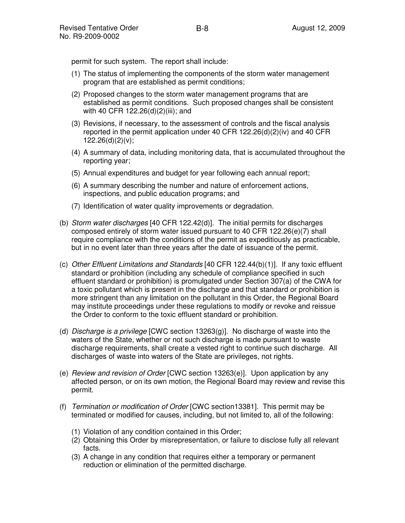permit for such system. The report shall include:

- (1) The status of implementing the components of the storm water management program that are established as permit conditions;
- (2) Proposed changes to the storm water management programs that are established as permit conditions. Such proposed changes shall be consistent with 40 CFR 122.26(d)(2)(iii); and
- (3) Revisions, if necessary, to the assessment of controls and the fiscal analysis reported in the permit application under 40 CFR 122.26(d)(2)(iv) and 40 CFR  $122.26(d)(2)(v)$ ;
- (4) A summary of data, including monitoring data, that is accumulated throughout the reporting year;
- (5) Annual expenditures and budget for year following each annual report;
- (6) A summary describing the number and nature of enforcement actions, inspections, and public education programs; and
- (7) Identification of water quality improvements or degradation.
- (b) Storm water discharges [40 CFR 122.42(d)]. The initial permits for discharges composed entirely of storm water issued pursuant to 40 CFR 122.26(e)(7) shall require compliance with the conditions of the permit as expeditiously as practicable, but in no event later than three years after the date of issuance of the permit.
- (c) Other Effluent Limitations and Standards [40 CFR 122.44(b)(1)]. If any toxic effluent standard or prohibition (including any schedule of compliance specified in such effluent standard or prohibition) is promulgated under Section 307(a) of the CWA for a toxic pollutant which is present in the discharge and that standard or prohibition is more stringent than any limitation on the pollutant in this Order, the Regional Board may institute proceedings under these regulations to modify or revoke and reissue the Order to conform to the toxic effluent standard or prohibition.
- (d) *Discharge is a privilege* [CWC section 13263(g)]. No discharge of waste into the waters of the State, whether or not such discharge is made pursuant to waste discharge requirements, shall create a vested right to continue such discharge. All discharges of waste into waters of the State are privileges, not rights.
- (e)  $Review$  and revision of Order  $[CWC$  section 13263(e)]. Upon application by any affected person, or on its own motion, the Regional Board may review and revise this permit.
- (f) Termination or modification of Order [CWC section13381]. This permit may be terminated or modified for causes, including, but not limited to, all of the following:
	- (1) Violation of any condition contained in this Order;
	- (2) Obtaining this Order by misrepresentation, or failure to disclose fully all relevant facts.
	- (3) A change in any condition that requires either a temporary or permanent reduction or elimination of the permitted discharge.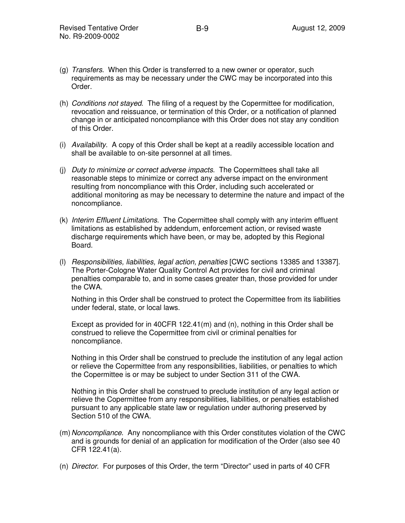- (g) Transfers. When this Order is transferred to a new owner or operator, such requirements as may be necessary under the CWC may be incorporated into this Order.
- (h) Conditions not stayed. The filing of a request by the Copermittee for modification, revocation and reissuance, or termination of this Order, or a notification of planned change in or anticipated noncompliance with this Order does not stay any condition of this Order.
- (i) Availability. A copy of this Order shall be kept at a readily accessible location and shall be available to on-site personnel at all times.
- (i) Duty to minimize or correct adverse impacts. The Copermittees shall take all reasonable steps to minimize or correct any adverse impact on the environment resulting from noncompliance with this Order, including such accelerated or additional monitoring as may be necessary to determine the nature and impact of the noncompliance.
- (k) Interim Effluent Limitations. The Copermittee shall comply with any interim effluent limitations as established by addendum, enforcement action, or revised waste discharge requirements which have been, or may be, adopted by this Regional Board.
- (l) Responsibilities, liabilities, legal action, penalties [CWC sections 13385 and 13387]. The Porter-Cologne Water Quality Control Act provides for civil and criminal penalties comparable to, and in some cases greater than, those provided for under the CWA.

Nothing in this Order shall be construed to protect the Copermittee from its liabilities under federal, state, or local laws.

Except as provided for in 40CFR 122.41(m) and  $(n)$ , nothing in this Order shall be construed to relieve the Copermittee from civil or criminal penalties for noncompliance.

Nothing in this Order shall be construed to preclude the institution of any legal action or relieve the Copermittee from any responsibilities, liabilities, or penalties to which the Copermittee is or may be subject to under Section 311 of the CWA.

Nothing in this Order shall be construed to preclude institution of any legal action or relieve the Copermittee from any responsibilities, liabilities, or penalties established pursuant to any applicable state law or regulation under authoring preserved by Section 510 of the CWA.

- (m) Noncompliance. Any noncompliance with this Order constitutes violation of the CWC and is grounds for denial of an application for modification of the Order (also see 40 CFR 122.41(a).
- (n) Director. For purposes of this Order, the term "Director" used in parts of 40 CFR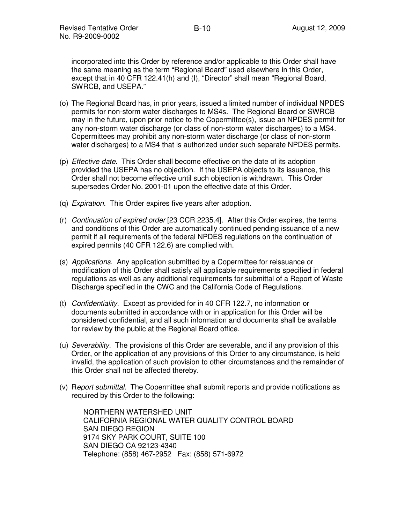incorporated into this Order by reference and/or applicable to this Order shall have the same meaning as the term "Regional Board" used elsewhere in this Order, except that in 40 CFR 122.41(h) and (I), "Director" shall mean "Regional Board, SWRCB, and USEPA."

- (o) The Regional Board has, in prior years, issued a limited number of individual NPDES permits for non-storm water discharges to MS4s. The Regional Board or SWRCB may in the future, upon prior notice to the Copermittee(s), issue an NPDES permit for any non-storm water discharge (or class of non-storm water discharges) to a MS4. Copermittees may prohibit any non-storm water discharge (or class of non-storm water discharges) to a MS4 that is authorized under such separate NPDES permits.
- (p) Effective date. This Order shall become effective on the date of its adoption provided the USEPA has no objection. If the USEPA objects to its issuance, this Order shall not become effective until such objection is withdrawn. This Order supersedes Order No. 2001-01 upon the effective date of this Order.
- (q) Expiration. This Order expires five years after adoption.
- (r) Continuation of expired order [23 CCR 2235.4]. After this Order expires, the terms and conditions of this Order are automatically continued pending issuance of a new permit if all requirements of the federal NPDES regulations on the continuation of expired permits (40 CFR 122.6) are complied with.
- (s) Applications. Any application submitted by a Copermittee for reissuance or modification of this Order shall satisfy all applicable requirements specified in federal regulations as well as any additional requirements for submittal of a Report of Waste Discharge specified in the CWC and the California Code of Regulations.
- (t) Confidentiality. Except as provided for in 40 CFR 122.7, no information or documents submitted in accordance with or in application for this Order will be considered confidential, and all such information and documents shall be available for review by the public at the Regional Board office.
- (u) Severability. The provisions of this Order are severable, and if any provision of this Order, or the application of any provisions of this Order to any circumstance, is held invalid, the application of such provision to other circumstances and the remainder of this Order shall not be affected thereby.
- (v) Report submittal. The Copermittee shall submit reports and provide notifications as required by this Order to the following:

NORTHERN WATERSHED UNIT CALIFORNIA REGIONAL WATER QUALITY CONTROL BOARD SAN DIEGO REGION 9174 SKY PARK COURT, SUITE 100 SAN DIEGO CA 92123-4340 Telephone: (858) 467-2952 Fax: (858) 571-6972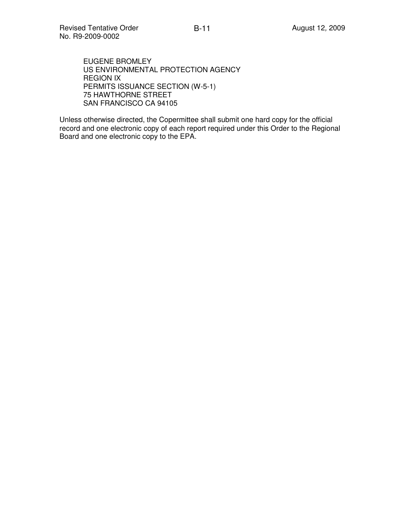EUGENE BROMLEY US ENVIRONMENTAL PROTECTION AGENCY REGION IX PERMITS ISSUANCE SECTION (W-5-1) 75 HAWTHORNE STREET SAN FRANCISCO CA 94105

Unless otherwise directed, the Copermittee shall submit one hard copy for the official record and one electronic copy of each report required under this Order to the Regional Board and one electronic copy to the EPA.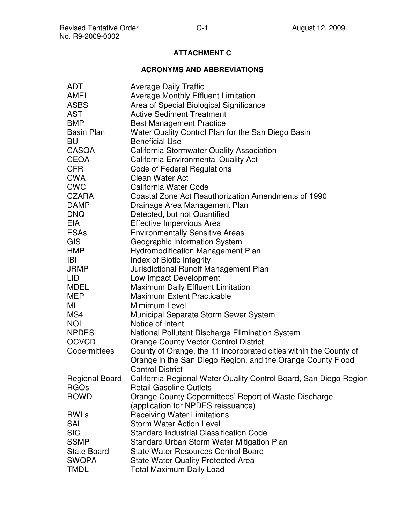# **ATTACHMENT C**

## **ACRONYMS AND ABBREVIATIONS**

| <b>ADT</b>         | <b>Average Daily Traffic</b>                                                     |  |  |  |
|--------------------|----------------------------------------------------------------------------------|--|--|--|
| AMEL               | <b>Average Monthly Effluent Limitation</b>                                       |  |  |  |
| <b>ASBS</b>        | Area of Special Biological Significance                                          |  |  |  |
| <b>AST</b>         | <b>Active Sediment Treatment</b>                                                 |  |  |  |
| <b>BMP</b>         | <b>Best Management Practice</b>                                                  |  |  |  |
| <b>Basin Plan</b>  | Water Quality Control Plan for the San Diego Basin                               |  |  |  |
| BU                 | <b>Beneficial Use</b>                                                            |  |  |  |
| CASQA              | <b>California Stormwater Quality Association</b>                                 |  |  |  |
| CEQA               | <b>California Environmental Quality Act</b>                                      |  |  |  |
| <b>CFR</b>         | Code of Federal Regulations                                                      |  |  |  |
| CWA                | Clean Water Act                                                                  |  |  |  |
| <b>CWC</b>         | California Water Code                                                            |  |  |  |
| CZARA              | Coastal Zone Act Reauthorization Amendments of 1990                              |  |  |  |
| <b>DAMP</b>        | Drainage Area Management Plan                                                    |  |  |  |
| <b>DNQ</b>         | Detected, but not Quantified                                                     |  |  |  |
| <b>EIA</b>         | Effective Impervious Area                                                        |  |  |  |
| <b>ESAs</b>        | <b>Environmentally Sensitive Areas</b>                                           |  |  |  |
| <b>GIS</b>         | Geographic Information System                                                    |  |  |  |
| <b>HMP</b>         | <b>Hydromodification Management Plan</b>                                         |  |  |  |
| IBI                | Index of Biotic Integrity                                                        |  |  |  |
| JRMP               | Jurisdictional Runoff Management Plan                                            |  |  |  |
| LID                | Low Impact Development                                                           |  |  |  |
| MDEL               | <b>Maximum Daily Effluent Limitation</b>                                         |  |  |  |
| <b>MEP</b>         | <b>Maximum Extent Practicable</b>                                                |  |  |  |
| ML                 | Mimimum Level                                                                    |  |  |  |
| MS4                | Municipal Separate Storm Sewer System                                            |  |  |  |
| <b>NOI</b>         | Notice of Intent                                                                 |  |  |  |
| <b>NPDES</b>       | National Pollutant Discharge Elimination System                                  |  |  |  |
| <b>OCVCD</b>       | <b>Orange County Vector Control District</b>                                     |  |  |  |
| Copermittees       | County of Orange, the 11 incorporated cities within the County of                |  |  |  |
|                    | Orange in the San Diego Region, and the Orange County Flood                      |  |  |  |
|                    | <b>Control District</b>                                                          |  |  |  |
|                    | Regional Board California Regional Water Quality Control Board, San Diego Region |  |  |  |
| <b>RGOs</b>        | <b>Retail Gasoline Outlets</b>                                                   |  |  |  |
| <b>ROWD</b>        | Orange County Copermittees' Report of Waste Discharge                            |  |  |  |
|                    | (application for NPDES reissuance)                                               |  |  |  |
| <b>RWLs</b>        | <b>Receiving Water Limitations</b>                                               |  |  |  |
| <b>SAL</b>         | <b>Storm Water Action Level</b>                                                  |  |  |  |
| <b>SIC</b>         | <b>Standard Industrial Classification Code</b>                                   |  |  |  |
| <b>SSMP</b>        | Standard Urban Storm Water Mitigation Plan                                       |  |  |  |
| <b>State Board</b> | <b>State Water Resources Control Board</b>                                       |  |  |  |
| <b>SWQPA</b>       | <b>State Water Quality Protected Area</b>                                        |  |  |  |
| <b>TMDL</b>        | <b>Total Maximum Daily Load</b>                                                  |  |  |  |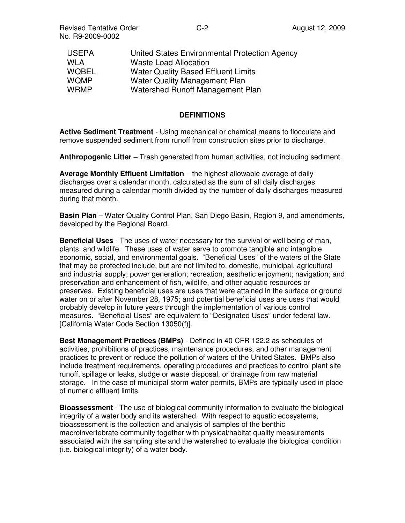| United States Environmental Protection Agency |
|-----------------------------------------------|
| <b>Waste Load Allocation</b>                  |
| <b>Water Quality Based Effluent Limits</b>    |
| Water Quality Management Plan                 |
| Watershed Runoff Management Plan              |
|                                               |

#### **DEFINITIONS**

**Active Sediment Treatment** - Using mechanical or chemical means to flocculate and remove suspended sediment from runoff from construction sites prior to discharge.

**Anthropogenic Litter** – Trash generated from human activities, not including sediment.

**Average Monthly Effluent Limitation** – the highest allowable average of daily discharges over a calendar month, calculated as the sum of all daily discharges measured during a calendar month divided by the number of daily discharges measured during that month.

**Basin Plan** – Water Quality Control Plan, San Diego Basin, Region 9, and amendments, developed by the Regional Board.

**Beneficial Uses** - The uses of water necessary for the survival or well being of man, plants, and wildlife. These uses of water serve to promote tangible and intangible economic, social, and environmental goals. "Beneficial Uses" of the waters of the State that may be protected include, but are not limited to, domestic, municipal, agricultural and industrial supply; power generation; recreation; aesthetic enjoyment; navigation; and preservation and enhancement of fish, wildlife, and other aquatic resources or preserves. Existing beneficial uses are uses that were attained in the surface or ground water on or after November 28, 1975; and potential beneficial uses are uses that would probably develop in future years through the implementation of various control measures. "Beneficial Uses" are equivalent to "Designated Uses" under federal law. [California Water Code Section 13050(f)].

**Best Management Practices (BMPs)** - Defined in 40 CFR 122.2 as schedules of activities, prohibitions of practices, maintenance procedures, and other management practices to prevent or reduce the pollution of waters of the United States. BMPs also include treatment requirements, operating procedures and practices to control plant site runoff, spillage or leaks, sludge or waste disposal, or drainage from raw material storage. In the case of municipal storm water permits, BMPs are typically used in place of numeric effluent limits.

**Bioassessment** - The use of biological community information to evaluate the biological integrity of a water body and its watershed. With respect to aquatic ecosystems, bioassessment is the collection and analysis of samples of the benthic macroinvertebrate community together with physical/habitat quality measurements associated with the sampling site and the watershed to evaluate the biological condition (i.e. biological integrity) of a water body.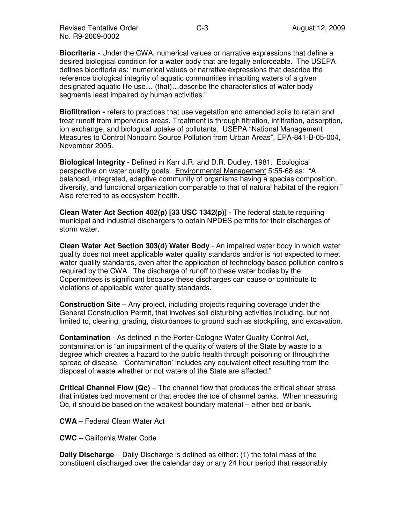Revised Tentative Order **August 12, 2009** C-3 No. R9-2009-0002

**Biocriteria** - Under the CWA, numerical values or narrative expressions that define a desired biological condition for a water body that are legally enforceable. The USEPA defines biocriteria as: "numerical values or narrative expressions that describe the reference biological integrity of aquatic communities inhabiting waters of a given designated aquatic life use… (that)…describe the characteristics of water body segments least impaired by human activities."

**Biofiltration -** refers to practices that use vegetation and amended soils to retain and treat runoff from impervious areas. Treatment is through filtration, infiltration, adsorption, ion exchange, and biological uptake of pollutants. USEPA "National Management Measures to Control Nonpoint Source Pollution from Urban Areas", EPA-841-B-05-004, November 2005.

**Biological Integrity** - Defined in Karr J.R. and D.R. Dudley. 1981. Ecological perspective on water quality goals. Environmental Management 5:55-68 as: "A balanced, integrated, adaptive community of organisms having a species composition, diversity, and functional organization comparable to that of natural habitat of the region." Also referred to as ecosystem health.

**Clean Water Act Section 402(p) [33 USC 1342(p)]** - The federal statute requiring municipal and industrial dischargers to obtain NPDES permits for their discharges of storm water.

**Clean Water Act Section 303(d) Water Body** - An impaired water body in which water quality does not meet applicable water quality standards and/or is not expected to meet water quality standards, even after the application of technology based pollution controls required by the CWA. The discharge of runoff to these water bodies by the Copermittees is significant because these discharges can cause or contribute to violations of applicable water quality standards.

**Construction Site** – Any project, including projects requiring coverage under the General Construction Permit, that involves soil disturbing activities including, but not limited to, clearing, grading, disturbances to ground such as stockpiling, and excavation.

**Contamination** - As defined in the Porter-Cologne Water Quality Control Act, contamination is "an impairment of the quality of waters of the State by waste to a degree which creates a hazard to the public health through poisoning or through the spread of disease. 'Contamination' includes any equivalent effect resulting from the disposal of waste whether or not waters of the State are affected."

**Critical Channel Flow (Qc)** – The channel flow that produces the critical shear stress that initiates bed movement or that erodes the toe of channel banks. When measuring Qc, it should be based on the weakest boundary material – either bed or bank.

- **CWA** Federal Clean Water Act
- **CWC** California Water Code

**Daily Discharge** – Daily Discharge is defined as either: (1) the total mass of the constituent discharged over the calendar day or any 24 hour period that reasonably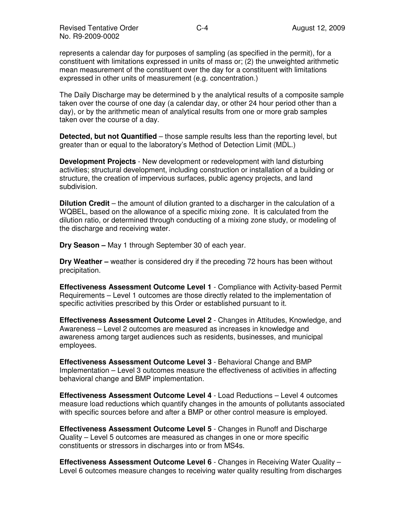represents a calendar day for purposes of sampling (as specified in the permit), for a constituent with limitations expressed in units of mass or; (2) the unweighted arithmetic mean measurement of the constituent over the day for a constituent with limitations expressed in other units of measurement (e.g. concentration.)

The Daily Discharge may be determined b y the analytical results of a composite sample taken over the course of one day (a calendar day, or other 24 hour period other than a day), or by the arithmetic mean of analytical results from one or more grab samples taken over the course of a day.

**Detected, but not Quantified** – those sample results less than the reporting level, but greater than or equal to the laboratory's Method of Detection Limit (MDL.)

**Development Projects** - New development or redevelopment with land disturbing activities; structural development, including construction or installation of a building or structure, the creation of impervious surfaces, public agency projects, and land subdivision.

**Dilution Credit** – the amount of dilution granted to a discharger in the calculation of a WQBEL, based on the allowance of a specific mixing zone. It is calculated from the dilution ratio, or determined through conducting of a mixing zone study, or modeling of the discharge and receiving water.

**Dry Season –** May 1 through September 30 of each year.

**Dry Weather –** weather is considered dry if the preceding 72 hours has been without precipitation.

**Effectiveness Assessment Outcome Level 1** - Compliance with Activity-based Permit Requirements – Level 1 outcomes are those directly related to the implementation of specific activities prescribed by this Order or established pursuant to it.

**Effectiveness Assessment Outcome Level 2** - Changes in Attitudes, Knowledge, and Awareness – Level 2 outcomes are measured as increases in knowledge and awareness among target audiences such as residents, businesses, and municipal employees.

**Effectiveness Assessment Outcome Level 3** - Behavioral Change and BMP Implementation – Level 3 outcomes measure the effectiveness of activities in affecting behavioral change and BMP implementation.

**Effectiveness Assessment Outcome Level 4** - Load Reductions – Level 4 outcomes measure load reductions which quantify changes in the amounts of pollutants associated with specific sources before and after a BMP or other control measure is employed.

**Effectiveness Assessment Outcome Level 5** - Changes in Runoff and Discharge Quality – Level 5 outcomes are measured as changes in one or more specific constituents or stressors in discharges into or from MS4s.

**Effectiveness Assessment Outcome Level 6** - Changes in Receiving Water Quality – Level 6 outcomes measure changes to receiving water quality resulting from discharges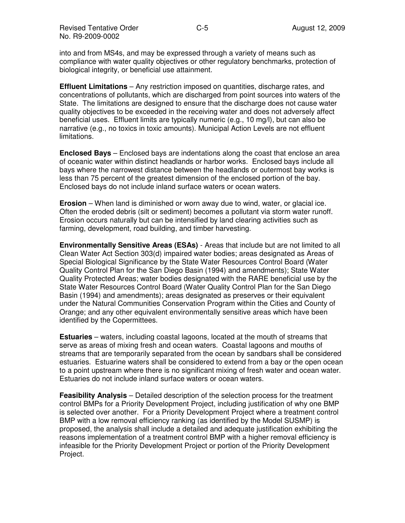into and from MS4s, and may be expressed through a variety of means such as compliance with water quality objectives or other regulatory benchmarks, protection of biological integrity, or beneficial use attainment.

**Effluent Limitations** – Any restriction imposed on quantities, discharge rates, and concentrations of pollutants, which are discharged from point sources into waters of the State. The limitations are designed to ensure that the discharge does not cause water quality objectives to be exceeded in the receiving water and does not adversely affect beneficial uses. Effluent limits are typically numeric (e.g., 10 mg/l), but can also be narrative (e.g., no toxics in toxic amounts). Municipal Action Levels are not effluent limitations.

**Enclosed Bays** – Enclosed bays are indentations along the coast that enclose an area of oceanic water within distinct headlands or harbor works. Enclosed bays include all bays where the narrowest distance between the headlands or outermost bay works is less than 75 percent of the greatest dimension of the enclosed portion of the bay. Enclosed bays do not include inland surface waters or ocean waters.

**Erosion** – When land is diminished or worn away due to wind, water, or glacial ice. Often the eroded debris (silt or sediment) becomes a pollutant via storm water runoff. Erosion occurs naturally but can be intensified by land clearing activities such as farming, development, road building, and timber harvesting.

**Environmentally Sensitive Areas (ESAs)** - Areas that include but are not limited to all Clean Water Act Section 303(d) impaired water bodies; areas designated as Areas of Special Biological Significance by the State Water Resources Control Board (Water Quality Control Plan for the San Diego Basin (1994) and amendments); State Water Quality Protected Areas; water bodies designated with the RARE beneficial use by the State Water Resources Control Board (Water Quality Control Plan for the San Diego Basin (1994) and amendments); areas designated as preserves or their equivalent under the Natural Communities Conservation Program within the Cities and County of Orange; and any other equivalent environmentally sensitive areas which have been identified by the Copermittees.

**Estuaries** – waters, including coastal lagoons, located at the mouth of streams that serve as areas of mixing fresh and ocean waters. Coastal lagoons and mouths of streams that are temporarily separated from the ocean by sandbars shall be considered estuaries. Estuarine waters shall be considered to extend from a bay or the open ocean to a point upstream where there is no significant mixing of fresh water and ocean water. Estuaries do not include inland surface waters or ocean waters.

**Feasibility Analysis** – Detailed description of the selection process for the treatment control BMPs for a Priority Development Project, including justification of why one BMP is selected over another. For a Priority Development Project where a treatment control BMP with a low removal efficiency ranking (as identified by the Model SUSMP) is proposed, the analysis shall include a detailed and adequate justification exhibiting the reasons implementation of a treatment control BMP with a higher removal efficiency is infeasible for the Priority Development Project or portion of the Priority Development Project.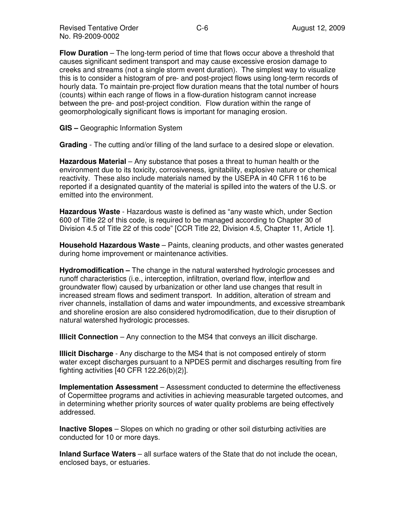**Flow Duration** – The long-term period of time that flows occur above a threshold that causes significant sediment transport and may cause excessive erosion damage to creeks and streams (not a single storm event duration). The simplest way to visualize this is to consider a histogram of pre- and post-project flows using long-term records of hourly data. To maintain pre-project flow duration means that the total number of hours (counts) within each range of flows in a flow-duration histogram cannot increase between the pre- and post-project condition. Flow duration within the range of geomorphologically significant flows is important for managing erosion.

**GIS –** Geographic Information System

**Grading** - The cutting and/or filling of the land surface to a desired slope or elevation.

**Hazardous Material** – Any substance that poses a threat to human health or the environment due to its toxicity, corrosiveness, ignitability, explosive nature or chemical reactivity. These also include materials named by the USEPA in 40 CFR 116 to be reported if a designated quantity of the material is spilled into the waters of the U.S. or emitted into the environment.

**Hazardous Waste** - Hazardous waste is defined as "any waste which, under Section 600 of Title 22 of this code, is required to be managed according to Chapter 30 of Division 4.5 of Title 22 of this code" [CCR Title 22, Division 4.5, Chapter 11, Article 1].

**Household Hazardous Waste** – Paints, cleaning products, and other wastes generated during home improvement or maintenance activities.

**Hydromodification –** The change in the natural watershed hydrologic processes and runoff characteristics (i.e., interception, infiltration, overland flow, interflow and groundwater flow) caused by urbanization or other land use changes that result in increased stream flows and sediment transport. In addition, alteration of stream and river channels, installation of dams and water impoundments, and excessive streambank and shoreline erosion are also considered hydromodification, due to their disruption of natural watershed hydrologic processes.

**Illicit Connection** – Any connection to the MS4 that conveys an illicit discharge.

**Illicit Discharge** - Any discharge to the MS4 that is not composed entirely of storm water except discharges pursuant to a NPDES permit and discharges resulting from fire fighting activities [40 CFR 122.26(b)(2)].

**Implementation Assessment** – Assessment conducted to determine the effectiveness of Copermittee programs and activities in achieving measurable targeted outcomes, and in determining whether priority sources of water quality problems are being effectively addressed.

**Inactive Slopes** – Slopes on which no grading or other soil disturbing activities are conducted for 10 or more days.

**Inland Surface Waters** – all surface waters of the State that do not include the ocean, enclosed bays, or estuaries.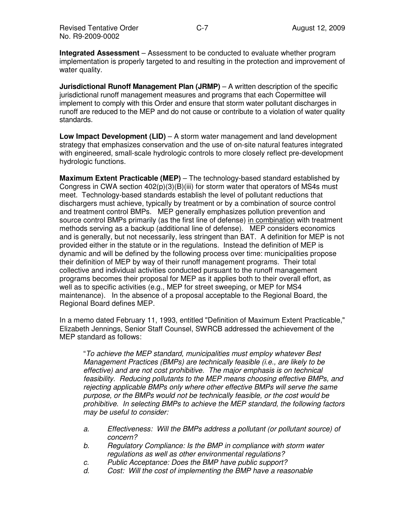**Integrated Assessment** – Assessment to be conducted to evaluate whether program implementation is properly targeted to and resulting in the protection and improvement of water quality.

**Jurisdictional Runoff Management Plan (JRMP)** – A written description of the specific jurisdictional runoff management measures and programs that each Copermittee will implement to comply with this Order and ensure that storm water pollutant discharges in runoff are reduced to the MEP and do not cause or contribute to a violation of water quality standards.

**Low Impact Development (LID)** – A storm water management and land development strategy that emphasizes conservation and the use of on-site natural features integrated with engineered, small-scale hydrologic controls to more closely reflect pre-development hydrologic functions.

**Maximum Extent Practicable (MEP)** – The technology-based standard established by Congress in CWA section  $402(p)(3)(B)(iii)$  for storm water that operators of MS4s must meet. Technology-based standards establish the level of pollutant reductions that dischargers must achieve, typically by treatment or by a combination of source control and treatment control BMPs. MEP generally emphasizes pollution prevention and source control BMPs primarily (as the first line of defense) in combination with treatment methods serving as a backup (additional line of defense). MEP considers economics and is generally, but not necessarily, less stringent than BAT. A definition for MEP is not provided either in the statute or in the regulations. Instead the definition of MEP is dynamic and will be defined by the following process over time: municipalities propose their definition of MEP by way of their runoff management programs. Their total collective and individual activities conducted pursuant to the runoff management programs becomes their proposal for MEP as it applies both to their overall effort, as well as to specific activities (e.g., MEP for street sweeping, or MEP for MS4 maintenance). In the absence of a proposal acceptable to the Regional Board, the Regional Board defines MEP.

In a memo dated February 11, 1993, entitled "Definition of Maximum Extent Practicable," Elizabeth Jennings, Senior Staff Counsel, SWRCB addressed the achievement of the MEP standard as follows:

"To achieve the MEP standard, municipalities must employ whatever Best Management Practices (BMPs) are technically feasible (i.e., are likely to be effective) and are not cost prohibitive. The major emphasis is on technical feasibility. Reducing pollutants to the MEP means choosing effective BMPs, and rejecting applicable BMPs only where other effective BMPs will serve the same purpose, or the BMPs would not be technically feasible, or the cost would be prohibitive. In selecting BMPs to achieve the MEP standard, the following factors may be useful to consider:

- a. Effectiveness: Will the BMPs address a pollutant (or pollutant source) of concern?
- b. Regulatory Compliance: Is the BMP in compliance with storm water regulations as well as other environmental regulations?
- c. Public Acceptance: Does the BMP have public support?
- d. Cost: Will the cost of implementing the BMP have a reasonable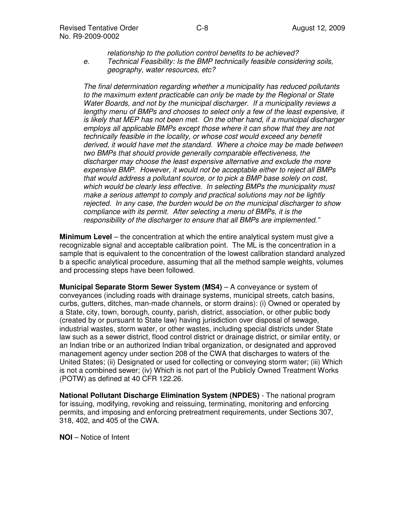relationship to the pollution control benefits to be achieved? e. Technical Feasibility: Is the BMP technically feasible considering soils, geography, water resources, etc?

The final determination regarding whether a municipality has reduced pollutants to the maximum extent practicable can only be made by the Regional or State Water Boards, and not by the municipal discharger. If a municipality reviews a lengthy menu of BMPs and chooses to select only a few of the least expensive, it is likely that MEP has not been met. On the other hand, if a municipal discharger employs all applicable BMPs except those where it can show that they are not technically feasible in the locality, or whose cost would exceed any benefit derived, it would have met the standard. Where a choice may be made between two BMPs that should provide generally comparable effectiveness, the discharger may choose the least expensive alternative and exclude the more expensive BMP. However, it would not be acceptable either to reject all BMPs that would address a pollutant source, or to pick a BMP base solely on cost, which would be clearly less effective. In selecting BMPs the municipality must make a serious attempt to comply and practical solutions may not be lightly rejected. In any case, the burden would be on the municipal discharger to show compliance with its permit. After selecting a menu of BMPs, it is the responsibility of the discharger to ensure that all BMPs are implemented."

**Minimum Level** – the concentration at which the entire analytical system must give a recognizable signal and acceptable calibration point. The ML is the concentration in a sample that is equivalent to the concentration of the lowest calibration standard analyzed b a specific analytical procedure, assuming that all the method sample weights, volumes and processing steps have been followed.

**Municipal Separate Storm Sewer System (MS4)** – A conveyance or system of conveyances (including roads with drainage systems, municipal streets, catch basins, curbs, gutters, ditches, man-made channels, or storm drains): (i) Owned or operated by a State, city, town, borough, county, parish, district, association, or other public body (created by or pursuant to State law) having jurisdiction over disposal of sewage, industrial wastes, storm water, or other wastes, including special districts under State law such as a sewer district, flood control district or drainage district, or similar entity, or an Indian tribe or an authorized Indian tribal organization, or designated and approved management agency under section 208 of the CWA that discharges to waters of the United States; (ii) Designated or used for collecting or conveying storm water; (iii) Which is not a combined sewer; (iv) Which is not part of the Publicly Owned Treatment Works (POTW) as defined at 40 CFR 122.26.

**National Pollutant Discharge Elimination System (NPDES)** - The national program for issuing, modifying, revoking and reissuing, terminating, monitoring and enforcing permits, and imposing and enforcing pretreatment requirements, under Sections 307, 318, 402, and 405 of the CWA.

**NOI** – Notice of Intent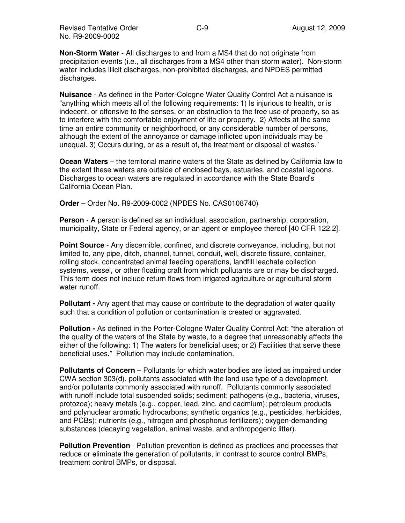**Non-Storm Water** - All discharges to and from a MS4 that do not originate from precipitation events (i.e., all discharges from a MS4 other than storm water). Non-storm water includes illicit discharges, non-prohibited discharges, and NPDES permitted discharges.

**Nuisance** - As defined in the Porter-Cologne Water Quality Control Act a nuisance is "anything which meets all of the following requirements: 1) Is injurious to health, or is indecent, or offensive to the senses, or an obstruction to the free use of property, so as to interfere with the comfortable enjoyment of life or property. 2) Affects at the same time an entire community or neighborhood, or any considerable number of persons, although the extent of the annoyance or damage inflicted upon individuals may be unequal. 3) Occurs during, or as a result of, the treatment or disposal of wastes."

**Ocean Waters** – the territorial marine waters of the State as defined by California law to the extent these waters are outside of enclosed bays, estuaries, and coastal lagoons. Discharges to ocean waters are regulated in accordance with the State Board's California Ocean Plan.

**Order** – Order No. R9-2009-0002 (NPDES No. CAS0108740)

**Person** - A person is defined as an individual, association, partnership, corporation, municipality, State or Federal agency, or an agent or employee thereof [40 CFR 122.2].

**Point Source** - Any discernible, confined, and discrete conveyance, including, but not limited to, any pipe, ditch, channel, tunnel, conduit, well, discrete fissure, container, rolling stock, concentrated animal feeding operations, landfill leachate collection systems, vessel, or other floating craft from which pollutants are or may be discharged. This term does not include return flows from irrigated agriculture or agricultural storm water runoff.

**Pollutant -** Any agent that may cause or contribute to the degradation of water quality such that a condition of pollution or contamination is created or aggravated.

**Pollution -** As defined in the Porter-Cologne Water Quality Control Act: "the alteration of the quality of the waters of the State by waste, to a degree that unreasonably affects the either of the following: 1) The waters for beneficial uses; or 2) Facilities that serve these beneficial uses." Pollution may include contamination.

**Pollutants of Concern** – Pollutants for which water bodies are listed as impaired under CWA section 303(d), pollutants associated with the land use type of a development, and/or pollutants commonly associated with runoff. Pollutants commonly associated with runoff include total suspended solids; sediment; pathogens (e.g., bacteria, viruses, protozoa); heavy metals (e.g., copper, lead, zinc, and cadmium); petroleum products and polynuclear aromatic hydrocarbons; synthetic organics (e.g., pesticides, herbicides, and PCBs); nutrients (e.g., nitrogen and phosphorus fertilizers); oxygen-demanding substances (decaying vegetation, animal waste, and anthropogenic litter).

**Pollution Prevention** - Pollution prevention is defined as practices and processes that reduce or eliminate the generation of pollutants, in contrast to source control BMPs, treatment control BMPs, or disposal.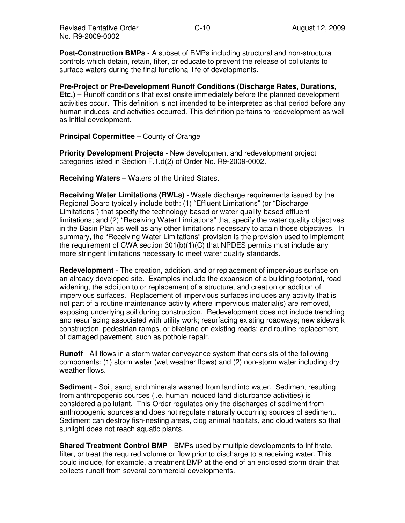**Post-Construction BMPs** - A subset of BMPs including structural and non-structural controls which detain, retain, filter, or educate to prevent the release of pollutants to surface waters during the final functional life of developments.

**Pre-Project or Pre-Development Runoff Conditions (Discharge Rates, Durations, Etc.)** – Runoff conditions that exist onsite immediately before the planned development activities occur. This definition is not intended to be interpreted as that period before any human-induces land activities occurred. This definition pertains to redevelopment as well as initial development.

### **Principal Copermittee** – County of Orange

**Priority Development Projects** - New development and redevelopment project categories listed in Section F.1.d(2) of Order No. R9-2009-0002.

**Receiving Waters –** Waters of the United States.

**Receiving Water Limitations (RWLs)** - Waste discharge requirements issued by the Regional Board typically include both: (1) "Effluent Limitations" (or "Discharge Limitations") that specify the technology-based or water-quality-based effluent limitations; and (2) "Receiving Water Limitations" that specify the water quality objectives in the Basin Plan as well as any other limitations necessary to attain those objectives. In summary, the "Receiving Water Limitations" provision is the provision used to implement the requirement of CWA section  $301(b)(1)(C)$  that NPDES permits must include any more stringent limitations necessary to meet water quality standards.

**Redevelopment** - The creation, addition, and or replacement of impervious surface on an already developed site. Examples include the expansion of a building footprint, road widening, the addition to or replacement of a structure, and creation or addition of impervious surfaces. Replacement of impervious surfaces includes any activity that is not part of a routine maintenance activity where impervious material(s) are removed, exposing underlying soil during construction. Redevelopment does not include trenching and resurfacing associated with utility work; resurfacing existing roadways; new sidewalk construction, pedestrian ramps, or bikelane on existing roads; and routine replacement of damaged pavement, such as pothole repair.

**Runoff** - All flows in a storm water conveyance system that consists of the following components: (1) storm water (wet weather flows) and (2) non-storm water including dry weather flows.

**Sediment -** Soil, sand, and minerals washed from land into water. Sediment resulting from anthropogenic sources (i.e. human induced land disturbance activities) is considered a pollutant. This Order regulates only the discharges of sediment from anthropogenic sources and does not regulate naturally occurring sources of sediment. Sediment can destroy fish-nesting areas, clog animal habitats, and cloud waters so that sunlight does not reach aquatic plants.

**Shared Treatment Control BMP** - BMPs used by multiple developments to infiltrate, filter, or treat the required volume or flow prior to discharge to a receiving water. This could include, for example, a treatment BMP at the end of an enclosed storm drain that collects runoff from several commercial developments.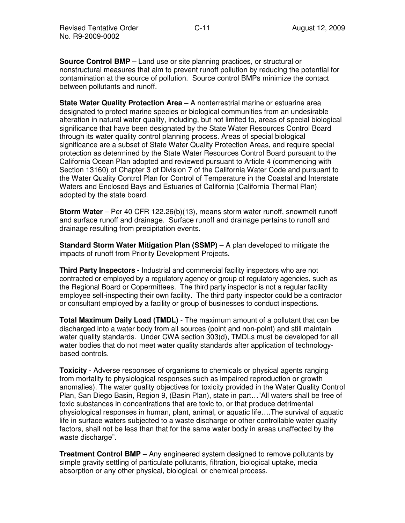**Source Control BMP** – Land use or site planning practices, or structural or nonstructural measures that aim to prevent runoff pollution by reducing the potential for contamination at the source of pollution. Source control BMPs minimize the contact between pollutants and runoff.

**State Water Quality Protection Area –** A nonterrestrial marine or estuarine area designated to protect marine species or biological communities from an undesirable alteration in natural water quality, including, but not limited to, areas of special biological significance that have been designated by the State Water Resources Control Board through its water quality control planning process. Areas of special biological significance are a subset of State Water Quality Protection Areas, and require special protection as determined by the State Water Resources Control Board pursuant to the California Ocean Plan adopted and reviewed pursuant to Article 4 (commencing with Section 13160) of Chapter 3 of Division 7 of the California Water Code and pursuant to the Water Quality Control Plan for Control of Temperature in the Coastal and Interstate Waters and Enclosed Bays and Estuaries of California (California Thermal Plan) adopted by the state board.

**Storm Water** – Per 40 CFR 122.26(b)(13), means storm water runoff, snowmelt runoff and surface runoff and drainage. Surface runoff and drainage pertains to runoff and drainage resulting from precipitation events.

**Standard Storm Water Mitigation Plan (SSMP)** – A plan developed to mitigate the impacts of runoff from Priority Development Projects.

**Third Party Inspectors -** Industrial and commercial facility inspectors who are not contracted or employed by a regulatory agency or group of regulatory agencies, such as the Regional Board or Copermittees. The third party inspector is not a regular facility employee self-inspecting their own facility. The third party inspector could be a contractor or consultant employed by a facility or group of businesses to conduct inspections.

**Total Maximum Daily Load (TMDL)** - The maximum amount of a pollutant that can be discharged into a water body from all sources (point and non-point) and still maintain water quality standards. Under CWA section 303(d), TMDLs must be developed for all water bodies that do not meet water quality standards after application of technologybased controls.

**Toxicity** - Adverse responses of organisms to chemicals or physical agents ranging from mortality to physiological responses such as impaired reproduction or growth anomalies). The water quality objectives for toxicity provided in the Water Quality Control Plan, San Diego Basin, Region 9, (Basin Plan), state in part…"All waters shall be free of toxic substances in concentrations that are toxic to, or that produce detrimental physiological responses in human, plant, animal, or aquatic life….The survival of aquatic life in surface waters subjected to a waste discharge or other controllable water quality factors, shall not be less than that for the same water body in areas unaffected by the waste discharge".

**Treatment Control BMP** – Any engineered system designed to remove pollutants by simple gravity settling of particulate pollutants, filtration, biological uptake, media absorption or any other physical, biological, or chemical process.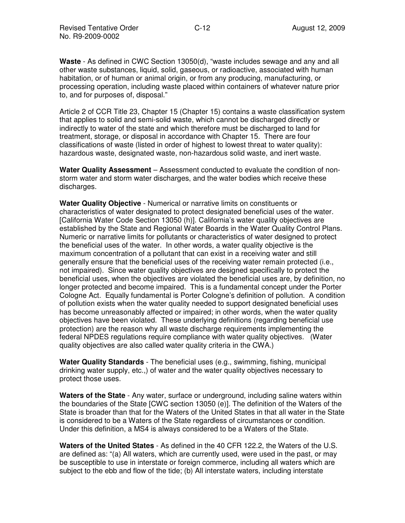**Waste** - As defined in CWC Section 13050(d), "waste includes sewage and any and all other waste substances, liquid, solid, gaseous, or radioactive, associated with human habitation, or of human or animal origin, or from any producing, manufacturing, or processing operation, including waste placed within containers of whatever nature prior to, and for purposes of, disposal."

Article 2 of CCR Title 23, Chapter 15 (Chapter 15) contains a waste classification system that applies to solid and semi-solid waste, which cannot be discharged directly or indirectly to water of the state and which therefore must be discharged to land for treatment, storage, or disposal in accordance with Chapter 15. There are four classifications of waste (listed in order of highest to lowest threat to water quality): hazardous waste, designated waste, non-hazardous solid waste, and inert waste.

**Water Quality Assessment** – Assessment conducted to evaluate the condition of nonstorm water and storm water discharges, and the water bodies which receive these discharges.

**Water Quality Objective** - Numerical or narrative limits on constituents or characteristics of water designated to protect designated beneficial uses of the water. [California Water Code Section 13050 (h)]. California's water quality objectives are established by the State and Regional Water Boards in the Water Quality Control Plans. Numeric or narrative limits for pollutants or characteristics of water designed to protect the beneficial uses of the water. In other words, a water quality objective is the maximum concentration of a pollutant that can exist in a receiving water and still generally ensure that the beneficial uses of the receiving water remain protected (i.e., not impaired). Since water quality objectives are designed specifically to protect the beneficial uses, when the objectives are violated the beneficial uses are, by definition, no longer protected and become impaired. This is a fundamental concept under the Porter Cologne Act. Equally fundamental is Porter Cologne's definition of pollution. A condition of pollution exists when the water quality needed to support designated beneficial uses has become unreasonably affected or impaired; in other words, when the water quality objectives have been violated. These underlying definitions (regarding beneficial use protection) are the reason why all waste discharge requirements implementing the federal NPDES regulations require compliance with water quality objectives. (Water quality objectives are also called water quality criteria in the CWA.)

**Water Quality Standards** - The beneficial uses (e.g., swimming, fishing, municipal drinking water supply, etc.,) of water and the water quality objectives necessary to protect those uses.

**Waters of the State** - Any water, surface or underground, including saline waters within the boundaries of the State [CWC section 13050 (e)]. The definition of the Waters of the State is broader than that for the Waters of the United States in that all water in the State is considered to be a Waters of the State regardless of circumstances or condition. Under this definition, a MS4 is always considered to be a Waters of the State.

**Waters of the United States** - As defined in the 40 CFR 122.2, the Waters of the U.S. are defined as: "(a) All waters, which are currently used, were used in the past, or may be susceptible to use in interstate or foreign commerce, including all waters which are subject to the ebb and flow of the tide; (b) All interstate waters, including interstate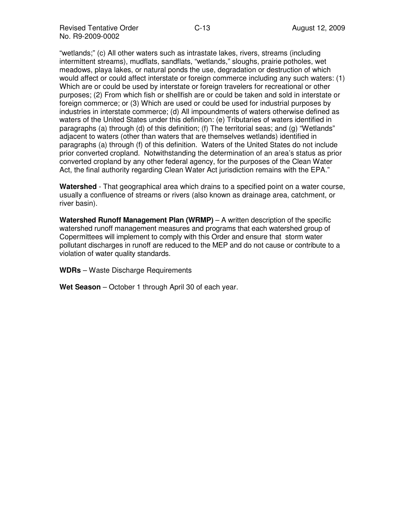Revised Tentative Order **August 12, 2009** C-13 No. R9-2009-0002

"wetlands;" (c) All other waters such as intrastate lakes, rivers, streams (including intermittent streams), mudflats, sandflats, "wetlands," sloughs, prairie potholes, wet meadows, playa lakes, or natural ponds the use, degradation or destruction of which would affect or could affect interstate or foreign commerce including any such waters: (1) Which are or could be used by interstate or foreign travelers for recreational or other purposes; (2) From which fish or shellfish are or could be taken and sold in interstate or foreign commerce; or (3) Which are used or could be used for industrial purposes by industries in interstate commerce; (d) All impoundments of waters otherwise defined as waters of the United States under this definition: (e) Tributaries of waters identified in paragraphs (a) through (d) of this definition; (f) The territorial seas; and (g) "Wetlands" adjacent to waters (other than waters that are themselves wetlands) identified in paragraphs (a) through (f) of this definition. Waters of the United States do not include prior converted cropland. Notwithstanding the determination of an area's status as prior converted cropland by any other federal agency, for the purposes of the Clean Water Act, the final authority regarding Clean Water Act jurisdiction remains with the EPA."

**Watershed** - That geographical area which drains to a specified point on a water course, usually a confluence of streams or rivers (also known as drainage area, catchment, or river basin).

**Watershed Runoff Management Plan (WRMP)** – A written description of the specific watershed runoff management measures and programs that each watershed group of Copermittees will implement to comply with this Order and ensure that storm water pollutant discharges in runoff are reduced to the MEP and do not cause or contribute to a violation of water quality standards.

**WDRs** – Waste Discharge Requirements

**Wet Season** – October 1 through April 30 of each year.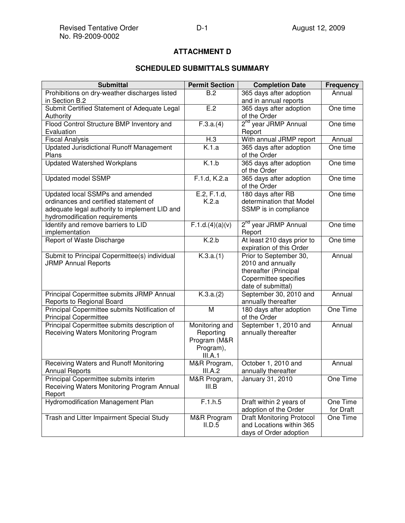# **ATTACHMENT D**

# **SCHEDULED SUBMITTALS SUMMARY**

| <b>Submittal</b>                                                                                                                                            | <b>Permit Section</b>                                               | <b>Completion Date</b>                                                                                              | <b>Frequency</b>      |
|-------------------------------------------------------------------------------------------------------------------------------------------------------------|---------------------------------------------------------------------|---------------------------------------------------------------------------------------------------------------------|-----------------------|
| Prohibitions on dry-weather discharges listed                                                                                                               | B.2                                                                 | 365 days after adoption                                                                                             | Annual                |
| in Section B.2                                                                                                                                              |                                                                     | and in annual reports                                                                                               |                       |
| Submit Certified Statement of Adequate Legal                                                                                                                | E.2                                                                 | 365 days after adoption                                                                                             | One time              |
| Authority                                                                                                                                                   |                                                                     | of the Order                                                                                                        |                       |
| Flood Control Structure BMP Inventory and                                                                                                                   | $\overline{F.3.a.(4)}$                                              | 2 <sup>nd</sup> year JRMP Annual                                                                                    | One time              |
| Evaluation                                                                                                                                                  |                                                                     | Report                                                                                                              |                       |
| <b>Fiscal Analysis</b>                                                                                                                                      | H.3                                                                 | With annual JRMP report                                                                                             | Annual                |
| <b>Updated Jurisdictional Runoff Management</b><br>Plans                                                                                                    | K.1.a                                                               | 365 days after adoption<br>of the Order                                                                             | One time              |
| <b>Updated Watershed Workplans</b>                                                                                                                          | K.1.b                                                               | 365 days after adoption<br>of the Order                                                                             | One time              |
| Updated model SSMP                                                                                                                                          | F.1.d, K.2.a                                                        | 365 days after adoption<br>of the Order                                                                             | One time              |
| Updated local SSMPs and amended<br>ordinances and certified statement of<br>adequate legal authority to implement LID and<br>hydromodification requirements | E.2, F.1.d,<br>K.2.a                                                | 180 days after RB<br>determination that Model<br>SSMP is in compliance                                              | One time              |
| Identify and remove barriers to LID<br>implementation                                                                                                       | F.1.d.(4)(a)(v)                                                     | 2 <sup>nd</sup> year JRMP Annual<br>Report                                                                          | One time              |
| Report of Waste Discharge                                                                                                                                   | K.2.b                                                               | At least 210 days prior to<br>expiration of this Order                                                              | One time              |
| Submit to Principal Copermittee(s) individual<br><b>JRMP Annual Reports</b>                                                                                 | K.3.a.(1)                                                           | Prior to September 30,<br>2010 and annually<br>thereafter (Principal<br>Copermittee specifies<br>date of submittal) | Annual                |
| Principal Copermittee submits JRMP Annual<br>Reports to Regional Board                                                                                      | K.3.a.(2)                                                           | September 30, 2010 and<br>annually thereafter                                                                       | Annual                |
| Principal Copermittee submits Notification of<br><b>Principal Copermittee</b>                                                                               | M                                                                   | 180 days after adoption<br>of the Order                                                                             | One Time              |
| Principal Copermittee submits description of<br>Receiving Waters Monitoring Program                                                                         | Monitoring and<br>Reporting<br>Program (M&R<br>Program),<br>III.A.1 | September 1, 2010 and<br>annually thereafter                                                                        | Annual                |
| Receiving Waters and Runoff Monitoring<br><b>Annual Reports</b>                                                                                             | M&R Program,<br>III.A.2                                             | October 1, 2010 and<br>annually thereafter                                                                          | Annual                |
| Principal Copermittee submits interim<br>Receiving Waters Monitoring Program Annual<br>Report                                                               | M&R Program,<br>III.B                                               | January 31, 2010                                                                                                    | One Time              |
| Hydromodification Management Plan                                                                                                                           | F.1.h.5                                                             | Draft within 2 years of<br>adoption of the Order                                                                    | One Time<br>for Draft |
| Trash and Litter Impairment Special Study                                                                                                                   | M&R Program<br>II.D.5                                               | <b>Draft Monitoring Protocol</b><br>and Locations within 365<br>days of Order adoption                              | One Time              |